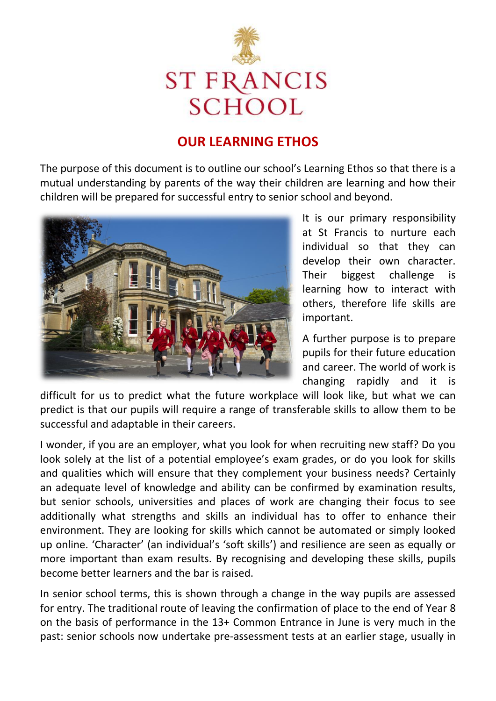

# **OUR LEARNING ETHOS**

The purpose of this document is to outline our school's Learning Ethos so that there is a mutual understanding by parents of the way their children are learning and how their children will be prepared for successful entry to senior school and beyond.



It is our primary responsibility at St Francis to nurture each individual so that they can develop their own character. Their biggest challenge is learning how to interact with others, therefore life skills are important.

A further purpose is to prepare pupils for their future education and career. The world of work is changing rapidly and it is

difficult for us to predict what the future workplace will look like, but what we can predict is that our pupils will require a range of transferable skills to allow them to be successful and adaptable in their careers.

I wonder, if you are an employer, what you look for when recruiting new staff? Do you look solely at the list of a potential employee's exam grades, or do you look for skills and qualities which will ensure that they complement your business needs? Certainly an adequate level of knowledge and ability can be confirmed by examination results, but senior schools, universities and places of work are changing their focus to see additionally what strengths and skills an individual has to offer to enhance their environment. They are looking for skills which cannot be automated or simply looked up online. 'Character' (an individual's 'soft skills') and resilience are seen as equally or more important than exam results. By recognising and developing these skills, pupils become better learners and the bar is raised.

In senior school terms, this is shown through a change in the way pupils are assessed for entry. The traditional route of leaving the confirmation of place to the end of Year 8 on the basis of performance in the 13+ Common Entrance in June is very much in the past: senior schools now undertake pre-assessment tests at an earlier stage, usually in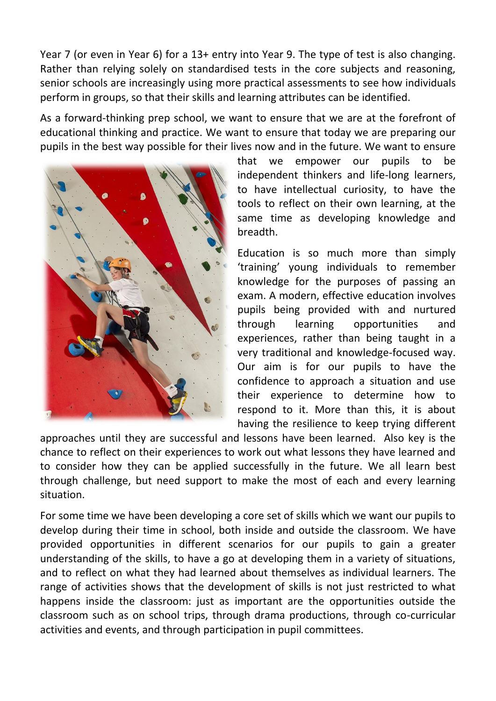Year 7 (or even in Year 6) for a 13+ entry into Year 9. The type of test is also changing. Rather than relying solely on standardised tests in the core subjects and reasoning, senior schools are increasingly using more practical assessments to see how individuals perform in groups, so that their skills and learning attributes can be identified.

As a forward-thinking prep school, we want to ensure that we are at the forefront of educational thinking and practice. We want to ensure that today we are preparing our pupils in the best way possible for their lives now and in the future. We want to ensure



that we empower our pupils to be independent thinkers and life-long learners, to have intellectual curiosity, to have the tools to reflect on their own learning, at the same time as developing knowledge and breadth.

Education is so much more than simply 'training' young individuals to remember knowledge for the purposes of passing an exam. A modern, effective education involves pupils being provided with and nurtured through learning opportunities and experiences, rather than being taught in a very traditional and knowledge-focused way. Our aim is for our pupils to have the confidence to approach a situation and use their experience to determine how to respond to it. More than this, it is about having the resilience to keep trying different

approaches until they are successful and lessons have been learned. Also key is the chance to reflect on their experiences to work out what lessons they have learned and to consider how they can be applied successfully in the future. We all learn best through challenge, but need support to make the most of each and every learning situation.

For some time we have been developing a core set of skills which we want our pupils to develop during their time in school, both inside and outside the classroom. We have provided opportunities in different scenarios for our pupils to gain a greater understanding of the skills, to have a go at developing them in a variety of situations, and to reflect on what they had learned about themselves as individual learners. The range of activities shows that the development of skills is not just restricted to what happens inside the classroom: just as important are the opportunities outside the classroom such as on school trips, through drama productions, through co-curricular activities and events, and through participation in pupil committees.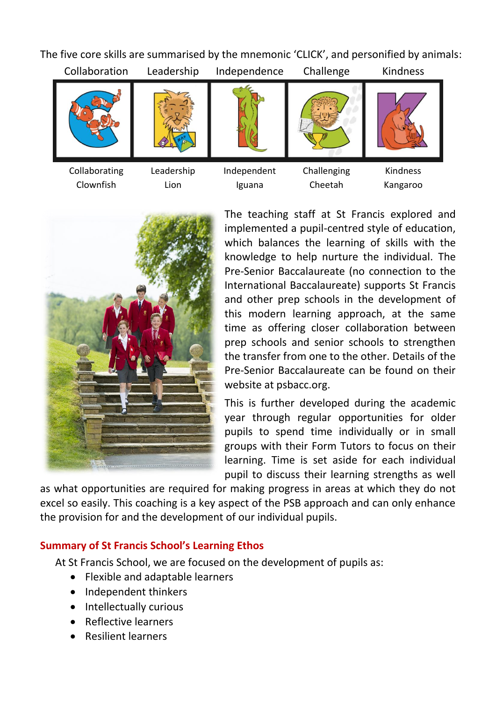The five core skills are summarised by the mnemonic 'CLICK', and personified by animals:





The teaching staff at St Francis explored and implemented a pupil-centred style of education, which balances the learning of skills with the knowledge to help nurture the individual. The Pre-Senior Baccalaureate (no connection to the International Baccalaureate) supports St Francis and other prep schools in the development of this modern learning approach, at the same time as offering closer collaboration between prep schools and senior schools to strengthen the transfer from one to the other. Details of the Pre-Senior Baccalaureate can be found on their website at psbacc.org.

This is further developed during the academic year through regular opportunities for older pupils to spend time individually or in small groups with their Form Tutors to focus on their learning. Time is set aside for each individual pupil to discuss their learning strengths as well

as what opportunities are required for making progress in areas at which they do not excel so easily. This coaching is a key aspect of the PSB approach and can only enhance the provision for and the development of our individual pupils.

#### **Summary of St Francis School's Learning Ethos**

At St Francis School, we are focused on the development of pupils as:

- Flexible and adaptable learners
- Independent thinkers
- Intellectually curious
- Reflective learners
- Resilient learners